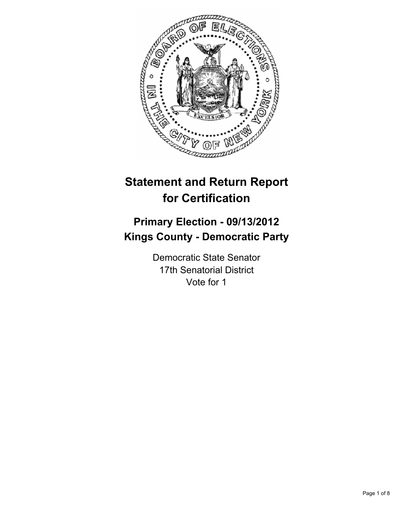

# **Statement and Return Report for Certification**

## **Primary Election - 09/13/2012 Kings County - Democratic Party**

Democratic State Senator 17th Senatorial District Vote for 1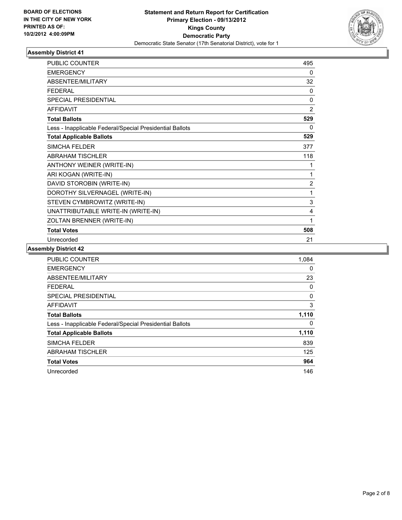

| <b>PUBLIC COUNTER</b>                                    | 495            |
|----------------------------------------------------------|----------------|
| <b>EMERGENCY</b>                                         | 0              |
| ABSENTEE/MILITARY                                        | 32             |
| <b>FEDERAL</b>                                           | $\mathbf{0}$   |
| <b>SPECIAL PRESIDENTIAL</b>                              | 0              |
| <b>AFFIDAVIT</b>                                         | $\overline{2}$ |
| <b>Total Ballots</b>                                     | 529            |
| Less - Inapplicable Federal/Special Presidential Ballots | 0              |
| <b>Total Applicable Ballots</b>                          | 529            |
| <b>SIMCHA FELDER</b>                                     | 377            |
| <b>ABRAHAM TISCHLER</b>                                  | 118            |
| ANTHONY WEINER (WRITE-IN)                                | 1              |
| ARI KOGAN (WRITE-IN)                                     | 1              |
| DAVID STOROBIN (WRITE-IN)                                | $\overline{2}$ |
| DOROTHY SILVERNAGEL (WRITE-IN)                           | 1              |
| STEVEN CYMBROWITZ (WRITE-IN)                             | 3              |
| UNATTRIBUTABLE WRITE-IN (WRITE-IN)                       | 4              |
| ZOLTAN BRENNER (WRITE-IN)                                | 1              |
| <b>Total Votes</b>                                       | 508            |
| Unrecorded                                               | 21             |

| <b>PUBLIC COUNTER</b>                                    | 1,084 |
|----------------------------------------------------------|-------|
| <b>EMERGENCY</b>                                         | 0     |
| ABSENTEE/MILITARY                                        | 23    |
| FEDERAL                                                  | 0     |
| SPECIAL PRESIDENTIAL                                     | 0     |
| <b>AFFIDAVIT</b>                                         | 3     |
| <b>Total Ballots</b>                                     | 1,110 |
| Less - Inapplicable Federal/Special Presidential Ballots | 0     |
| <b>Total Applicable Ballots</b>                          | 1,110 |
| <b>SIMCHA FELDER</b>                                     | 839   |
| <b>ABRAHAM TISCHLER</b>                                  | 125   |
| <b>Total Votes</b>                                       | 964   |
| Unrecorded                                               | 146   |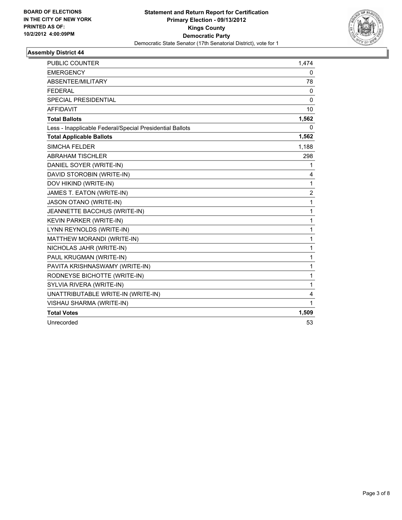

| <b>PUBLIC COUNTER</b>                                    | 1,474          |
|----------------------------------------------------------|----------------|
| <b>EMERGENCY</b>                                         | 0              |
| ABSENTEE/MILITARY                                        | 78             |
| <b>FEDERAL</b>                                           | 0              |
| <b>SPECIAL PRESIDENTIAL</b>                              | $\Omega$       |
| <b>AFFIDAVIT</b>                                         | 10             |
| <b>Total Ballots</b>                                     | 1,562          |
| Less - Inapplicable Federal/Special Presidential Ballots | 0              |
| <b>Total Applicable Ballots</b>                          | 1,562          |
| <b>SIMCHA FELDER</b>                                     | 1,188          |
| <b>ABRAHAM TISCHLER</b>                                  | 298            |
| DANIEL SOYER (WRITE-IN)                                  | 1              |
| DAVID STOROBIN (WRITE-IN)                                | 4              |
| DOV HIKIND (WRITE-IN)                                    | 1              |
| JAMES T. EATON (WRITE-IN)                                | $\overline{2}$ |
| JASON OTANO (WRITE-IN)                                   | 1              |
| JEANNETTE BACCHUS (WRITE-IN)                             | 1              |
| KEVIN PARKER (WRITE-IN)                                  | $\mathbf{1}$   |
| LYNN REYNOLDS (WRITE-IN)                                 | $\mathbf{1}$   |
| MATTHEW MORANDI (WRITE-IN)                               | 1              |
| NICHOLAS JAHR (WRITE-IN)                                 | $\mathbf{1}$   |
| PAUL KRUGMAN (WRITE-IN)                                  | 1              |
| PAVITA KRISHNASWAMY (WRITE-IN)                           | 1              |
| RODNEYSE BICHOTTE (WRITE-IN)                             | 1              |
| SYLVIA RIVERA (WRITE-IN)                                 | $\mathbf{1}$   |
| UNATTRIBUTABLE WRITE-IN (WRITE-IN)                       | 4              |
| VISHAU SHARMA (WRITE-IN)                                 | 1              |
| <b>Total Votes</b>                                       | 1,509          |
| Unrecorded                                               | 53             |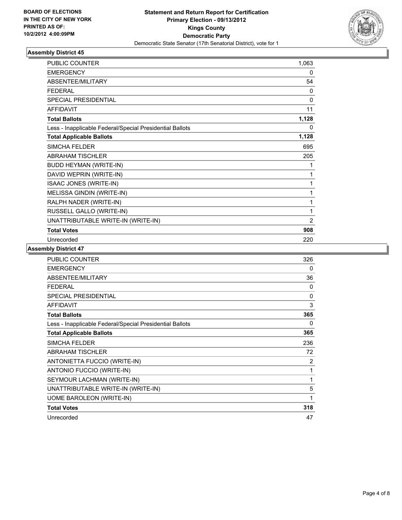

| <b>PUBLIC COUNTER</b>                                    | 1,063          |
|----------------------------------------------------------|----------------|
| <b>EMERGENCY</b>                                         | 0              |
| ABSENTEE/MILITARY                                        | 54             |
| <b>FEDERAL</b>                                           | $\mathbf{0}$   |
| <b>SPECIAL PRESIDENTIAL</b>                              | 0              |
| <b>AFFIDAVIT</b>                                         | 11             |
| <b>Total Ballots</b>                                     | 1,128          |
| Less - Inapplicable Federal/Special Presidential Ballots | 0              |
| <b>Total Applicable Ballots</b>                          | 1,128          |
| <b>SIMCHA FELDER</b>                                     | 695            |
| <b>ABRAHAM TISCHLER</b>                                  | 205            |
| <b>BUDD HEYMAN (WRITE-IN)</b>                            | 1              |
| DAVID WEPRIN (WRITE-IN)                                  | 1              |
| <b>ISAAC JONES (WRITE-IN)</b>                            | 1              |
| MELISSA GINDIN (WRITE-IN)                                | 1              |
| RALPH NADER (WRITE-IN)                                   | 1              |
| RUSSELL GALLO (WRITE-IN)                                 | 1              |
| UNATTRIBUTABLE WRITE-IN (WRITE-IN)                       | $\overline{2}$ |
| <b>Total Votes</b>                                       | 908            |
| Unrecorded                                               | 220            |

| <b>PUBLIC COUNTER</b>                                    | 326 |
|----------------------------------------------------------|-----|
| <b>EMERGENCY</b>                                         | 0   |
| ABSENTEE/MILITARY                                        | 36  |
| <b>FEDERAL</b>                                           | 0   |
| <b>SPECIAL PRESIDENTIAL</b>                              | 0   |
| <b>AFFIDAVIT</b>                                         | 3   |
| <b>Total Ballots</b>                                     | 365 |
| Less - Inapplicable Federal/Special Presidential Ballots | 0   |
| <b>Total Applicable Ballots</b>                          | 365 |
| <b>SIMCHA FELDER</b>                                     | 236 |
| <b>ABRAHAM TISCHLER</b>                                  | 72  |
| ANTONIETTA FUCCIO (WRITE-IN)                             | 2   |
| ANTONIO FUCCIO (WRITE-IN)                                | 1   |
| SEYMOUR LACHMAN (WRITE-IN)                               | 1   |
| UNATTRIBUTABLE WRITE-IN (WRITE-IN)                       | 5   |
| UOME BAROLEON (WRITE-IN)                                 | 1   |
| <b>Total Votes</b>                                       | 318 |
| Unrecorded                                               | 47  |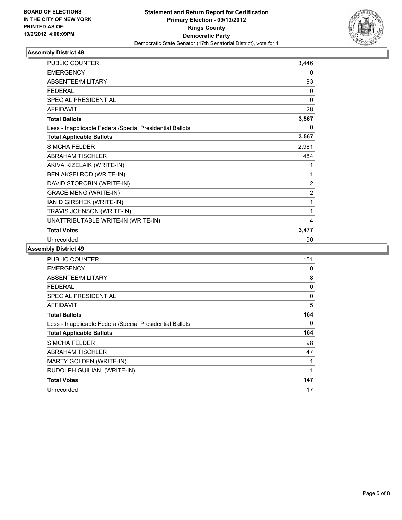

| <b>PUBLIC COUNTER</b>                                    | 3,446          |
|----------------------------------------------------------|----------------|
| <b>EMERGENCY</b>                                         | 0              |
| ABSENTEE/MILITARY                                        | 93             |
| <b>FEDERAL</b>                                           | 0              |
| SPECIAL PRESIDENTIAL                                     | 0              |
| <b>AFFIDAVIT</b>                                         | 28             |
| <b>Total Ballots</b>                                     | 3,567          |
| Less - Inapplicable Federal/Special Presidential Ballots | 0              |
| <b>Total Applicable Ballots</b>                          | 3,567          |
| <b>SIMCHA FELDER</b>                                     | 2,981          |
| <b>ABRAHAM TISCHLER</b>                                  | 484            |
| AKIVA KIZELAIK (WRITE-IN)                                | 1              |
| BEN AKSELROD (WRITE-IN)                                  | 1              |
| DAVID STOROBIN (WRITE-IN)                                | 2              |
| <b>GRACE MENG (WRITE-IN)</b>                             | $\overline{2}$ |
| IAN D GIRSHEK (WRITE-IN)                                 | 1              |
| TRAVIS JOHNSON (WRITE-IN)                                | 1              |
| UNATTRIBUTABLE WRITE-IN (WRITE-IN)                       | 4              |
| <b>Total Votes</b>                                       | 3,477          |
| Unrecorded                                               | 90             |

| <b>PUBLIC COUNTER</b>                                    | 151 |
|----------------------------------------------------------|-----|
| <b>EMERGENCY</b>                                         | 0   |
| ABSENTEE/MILITARY                                        | 8   |
| <b>FEDERAL</b>                                           | 0   |
| <b>SPECIAL PRESIDENTIAL</b>                              | 0   |
| <b>AFFIDAVIT</b>                                         | 5   |
| <b>Total Ballots</b>                                     | 164 |
| Less - Inapplicable Federal/Special Presidential Ballots | 0   |
| <b>Total Applicable Ballots</b>                          | 164 |
| <b>SIMCHA FELDER</b>                                     | 98  |
| <b>ABRAHAM TISCHLER</b>                                  | 47  |
| <b>MARTY GOLDEN (WRITE-IN)</b>                           | 1   |
| RUDOLPH GUILIANI (WRITE-IN)                              | 1   |
| <b>Total Votes</b>                                       | 147 |
| Unrecorded                                               | 17  |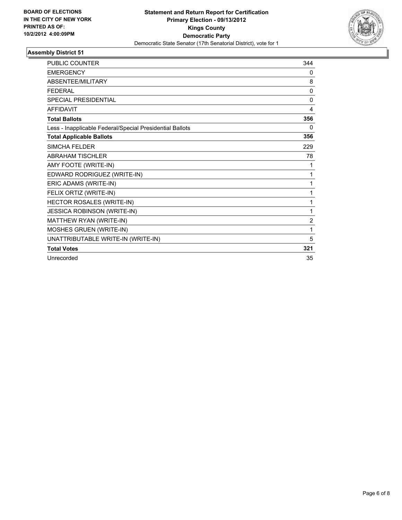

| PUBLIC COUNTER                                           | 344            |
|----------------------------------------------------------|----------------|
| <b>EMERGENCY</b>                                         | 0              |
| <b>ABSENTEF/MILITARY</b>                                 | 8              |
| <b>FEDERAL</b>                                           | $\mathbf{0}$   |
| <b>SPECIAL PRESIDENTIAL</b>                              | $\Omega$       |
| <b>AFFIDAVIT</b>                                         | 4              |
| <b>Total Ballots</b>                                     | 356            |
| Less - Inapplicable Federal/Special Presidential Ballots | 0              |
| <b>Total Applicable Ballots</b>                          | 356            |
| SIMCHA FFI DFR                                           | 229            |
| <b>ABRAHAM TISCHLER</b>                                  | 78             |
| AMY FOOTE (WRITE-IN)                                     | 1              |
| EDWARD RODRIGUEZ (WRITE-IN)                              | 1              |
| ERIC ADAMS (WRITE-IN)                                    | 1              |
| FELIX ORTIZ (WRITE-IN)                                   | 1              |
| HECTOR ROSALES (WRITE-IN)                                | 1              |
| JESSICA ROBINSON (WRITE-IN)                              | 1              |
| MATTHEW RYAN (WRITE-IN)                                  | $\overline{2}$ |
| MOSHES GRUEN (WRITE-IN)                                  | 1              |
| UNATTRIBUTABLE WRITE-IN (WRITE-IN)                       | 5              |
| <b>Total Votes</b>                                       | 321            |
| Unrecorded                                               | 35             |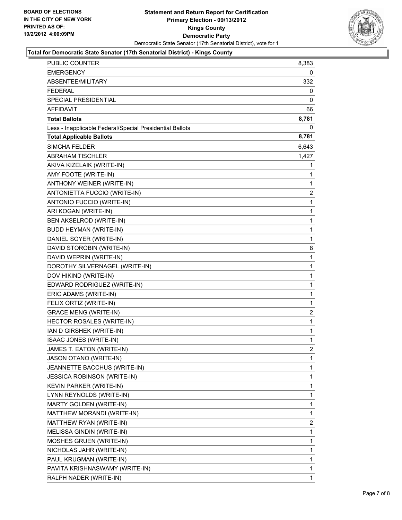

#### **Total for Democratic State Senator (17th Senatorial District) - Kings County**

| PUBLIC COUNTER                                           | 8,383          |
|----------------------------------------------------------|----------------|
| <b>EMERGENCY</b>                                         | 0              |
| ABSENTEE/MILITARY                                        | 332            |
| <b>FEDERAL</b>                                           | 0              |
| SPECIAL PRESIDENTIAL                                     | 0              |
| AFFIDAVIT                                                | 66             |
| <b>Total Ballots</b>                                     | 8,781          |
| Less - Inapplicable Federal/Special Presidential Ballots | 0              |
| <b>Total Applicable Ballots</b>                          | 8,781          |
| <b>SIMCHA FELDER</b>                                     | 6,643          |
| <b>ABRAHAM TISCHLER</b>                                  | 1,427          |
| AKIVA KIZELAIK (WRITE-IN)                                | 1              |
| AMY FOOTE (WRITE-IN)                                     | 1              |
| ANTHONY WEINER (WRITE-IN)                                | 1              |
| ANTONIETTA FUCCIO (WRITE-IN)                             | 2              |
| ANTONIO FUCCIO (WRITE-IN)                                | 1              |
| ARI KOGAN (WRITE-IN)                                     | 1              |
| BEN AKSELROD (WRITE-IN)                                  | 1              |
| <b>BUDD HEYMAN (WRITE-IN)</b>                            | 1              |
| DANIEL SOYER (WRITE-IN)                                  | 1              |
| DAVID STOROBIN (WRITE-IN)                                | 8              |
| DAVID WEPRIN (WRITE-IN)                                  | 1              |
| DOROTHY SILVERNAGEL (WRITE-IN)                           | 1              |
| DOV HIKIND (WRITE-IN)                                    | 1              |
| EDWARD RODRIGUEZ (WRITE-IN)                              | 1              |
| ERIC ADAMS (WRITE-IN)                                    | 1              |
| FELIX ORTIZ (WRITE-IN)                                   | 1              |
| <b>GRACE MENG (WRITE-IN)</b>                             | $\overline{2}$ |
| HECTOR ROSALES (WRITE-IN)                                | 1              |
| IAN D GIRSHEK (WRITE-IN)                                 | $\mathbf{1}$   |
| ISAAC JONES (WRITE-IN)                                   | 1              |
| JAMES T. EATON (WRITE-IN)                                | 2              |
| JASON OTANO (WRITE-IN)                                   | 1              |
| JEANNETTE BACCHUS (WRITE-IN)                             | 1              |
| <b>JESSICA ROBINSON (WRITE-IN)</b>                       | 1              |
| KEVIN PARKER (WRITE-IN)                                  | 1              |
| LYNN REYNOLDS (WRITE-IN)                                 | 1              |
| MARTY GOLDEN (WRITE-IN)                                  | 1              |
| MATTHEW MORANDI (WRITE-IN)                               | 1              |
| MATTHEW RYAN (WRITE-IN)                                  | $\overline{2}$ |
| MELISSA GINDIN (WRITE-IN)                                | 1              |
| MOSHES GRUEN (WRITE-IN)                                  | 1              |
| NICHOLAS JAHR (WRITE-IN)                                 | 1              |
| PAUL KRUGMAN (WRITE-IN)                                  | 1              |
| PAVITA KRISHNASWAMY (WRITE-IN)                           | 1              |
| RALPH NADER (WRITE-IN)                                   | 1              |
|                                                          |                |